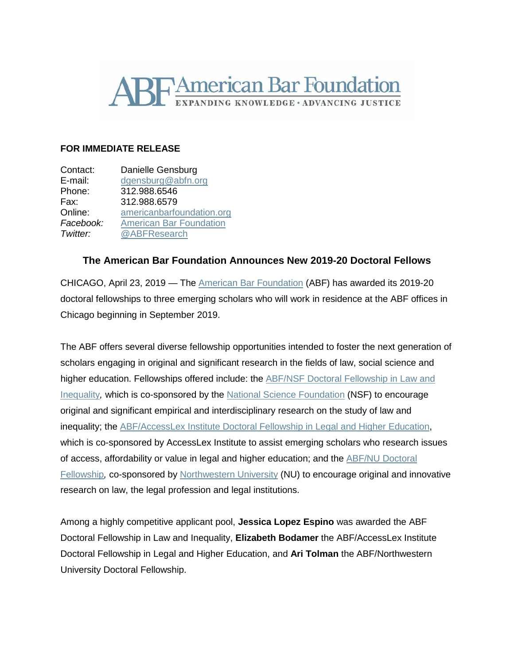

## **FOR IMMEDIATE RELEASE**

| Contact:  | Danielle Gensburg              |
|-----------|--------------------------------|
| E-mail:   | dgensburg@abfn.org             |
| Phone:    | 312.988.6546                   |
| Fax:      | 312.988.6579                   |
| Online:   | americanbarfoundation.org      |
| Facebook: | <b>American Bar Foundation</b> |
| Twitter:  | @ABFResearch                   |

## **The American Bar Foundation Announces New 2019-20 Doctoral Fellows**

CHICAGO, April 23, 2019 — The American Bar [Foundation](http://www.americanbarfoundation.org/index.html) (ABF) has awarded its 2019-20 doctoral fellowships to three emerging scholars who will work in residence at the ABF offices in Chicago beginning in September 2019.

The ABF offers several diverse fellowship opportunities intended to foster the next generation of scholars engaging in original and significant research in the fields of law, social science and higher education. Fellowships offered include: the ABF/NSF Doctoral [Fellowship](http://www.americanbarfoundation.org/research/Fellowshipopportunities/LawAndInequalityFellowshipsProgram.html) in Law and [Inequality](http://www.americanbarfoundation.org/research/Fellowshipopportunities/LawAndInequalityFellowshipsProgram.html)*,* which is co-sponsored by the National Science [Foundation](https://www.nsf.gov/) (NSF) to encourage original and significant empirical and interdisciplinary research on the study of law and inequality; the [ABF/AccessLex](http://www.americanbarfoundation.org/research/Fellowshipopportunities/ABF_AGI_Doctoral_Fellowship_Program_in_Legal___Higher_Education.html) Institute Doctoral Fellowship in Legal and Higher Education, which is co-sponsored by AccessLex Institute to assist emerging scholars who research issues of access, affordability or value in legal and higher education; and the ABF/NU [Doctoral](http://www.americanbarfoundation.org/research/Fellowshipopportunities/ABF_Northwestern_University_Doctoral_Fellowship_Program.html) [Fellowship](http://www.americanbarfoundation.org/research/Fellowshipopportunities/ABF_Northwestern_University_Doctoral_Fellowship_Program.html)*,* co-sponsored by [Northwestern](https://www.northwestern.edu/) University (NU) to encourage original and innovative research on law, the legal profession and legal institutions.

Among a highly competitive applicant pool, **Jessica Lopez Espino** was awarded the ABF Doctoral Fellowship in Law and Inequality, **Elizabeth Bodamer** the ABF/AccessLex Institute Doctoral Fellowship in Legal and Higher Education, and **Ari Tolman** the ABF/Northwestern University Doctoral Fellowship.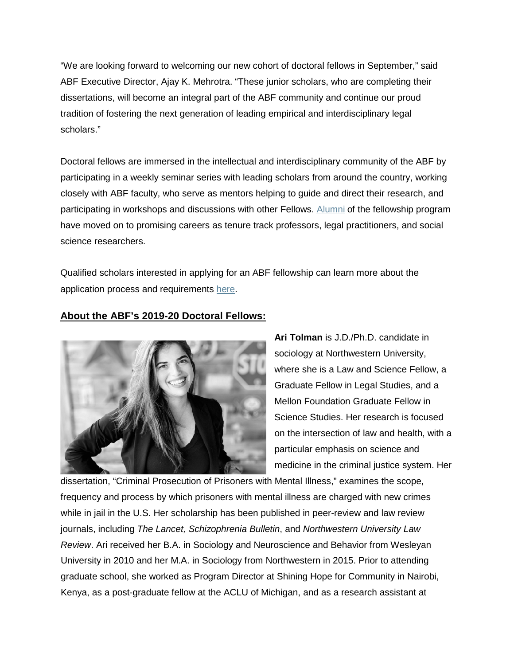"We are looking forward to welcoming our new cohort of doctoral fellows in September," said ABF Executive Director, Ajay K. Mehrotra. "These junior scholars, who are completing their dissertations, will become an integral part of the ABF community and continue our proud tradition of fostering the next generation of leading empirical and interdisciplinary legal scholars."

Doctoral fellows are immersed in the intellectual and interdisciplinary community of the ABF by participating in a weekly seminar series with leading scholars from around the country, working closely with ABF faculty, who serve as mentors helping to guide and direct their research, and participating in workshops and discussions with other Fellows. [Alumni](http://www.americanbarfoundation.org/fellowships/Doctoral_Fellows.html) of the fellowship program have moved on to promising careers as tenure track professors, legal practitioners, and social science researchers.

Qualified scholars interested in applying for an ABF fellowship can learn more about the application process and requirements [here.](http://www.americanbarfoundation.org/research/Fellowshipopportunities.html)

## **About the ABF's 2019-20 Doctoral Fellows:**



**Ari Tolman** is J.D./Ph.D. candidate in sociology at Northwestern University, where she is a Law and Science Fellow, a Graduate Fellow in Legal Studies, and a Mellon Foundation Graduate Fellow in Science Studies. Her research is focused on the intersection of law and health, with a particular emphasis on science and medicine in the criminal justice system. Her

dissertation, "Criminal Prosecution of Prisoners with Mental Illness," examines the scope, frequency and process by which prisoners with mental illness are charged with new crimes while in jail in the U.S. Her scholarship has been published in peer-review and law review journals, including *The Lancet, Schizophrenia Bulletin*, and *Northwestern University Law Review*. Ari received her B.A. in Sociology and Neuroscience and Behavior from Wesleyan University in 2010 and her M.A. in Sociology from Northwestern in 2015. Prior to attending graduate school, she worked as Program Director at Shining Hope for Community in Nairobi, Kenya, as a post-graduate fellow at the ACLU of Michigan, and as a research assistant at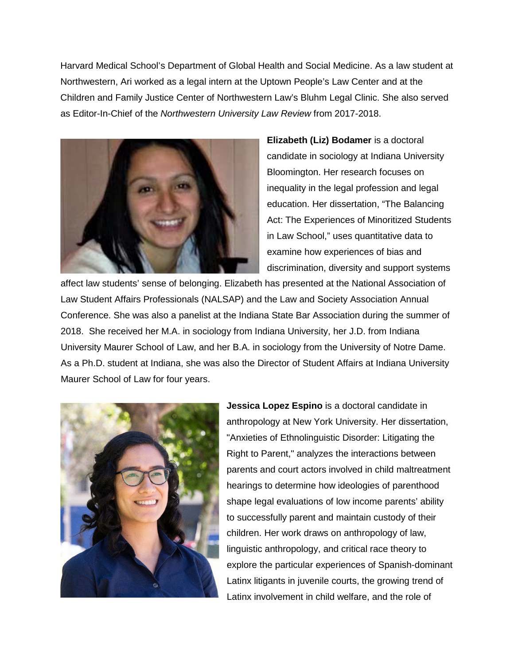Harvard Medical School's Department of Global Health and Social Medicine. As a law student at Northwestern, Ari worked as a legal intern at the Uptown People's Law Center and at the Children and Family Justice Center of Northwestern Law's Bluhm Legal Clinic. She also served as Editor-In-Chief of the *Northwestern University Law Review* from 2017-2018.



**Elizabeth (Liz) Bodamer** is a doctoral candidate in sociology at Indiana University Bloomington. Her research focuses on inequality in the legal profession and legal education. Her dissertation, "The Balancing Act: The Experiences of Minoritized Students in Law School," uses quantitative data to examine how experiences of bias and discrimination, diversity and support systems

affect law students' sense of belonging. Elizabeth has presented at the National Association of Law Student Affairs Professionals (NALSAP) and the Law and Society Association Annual Conference. She was also a panelist at the Indiana State Bar Association during the summer of 2018. She received her M.A. in sociology from Indiana University, her J.D. from Indiana University Maurer School of Law, and her B.A. in sociology from the University of Notre Dame. As a Ph.D. student at Indiana, she was also the Director of Student Affairs at Indiana University Maurer School of Law for four years.



**Jessica Lopez Espino** is a doctoral candidate in anthropology at New York University. Her dissertation, "Anxieties of Ethnolinguistic Disorder: Litigating the Right to Parent," analyzes the interactions between parents and court actors involved in child maltreatment hearings to determine how ideologies of parenthood shape legal evaluations of low income parents' ability to successfully parent and maintain custody of their children. Her work draws on anthropology of law, linguistic anthropology, and critical race theory to explore the particular experiences of Spanish-dominant Latinx litigants in juvenile courts, the growing trend of Latinx involvement in child welfare, and the role of